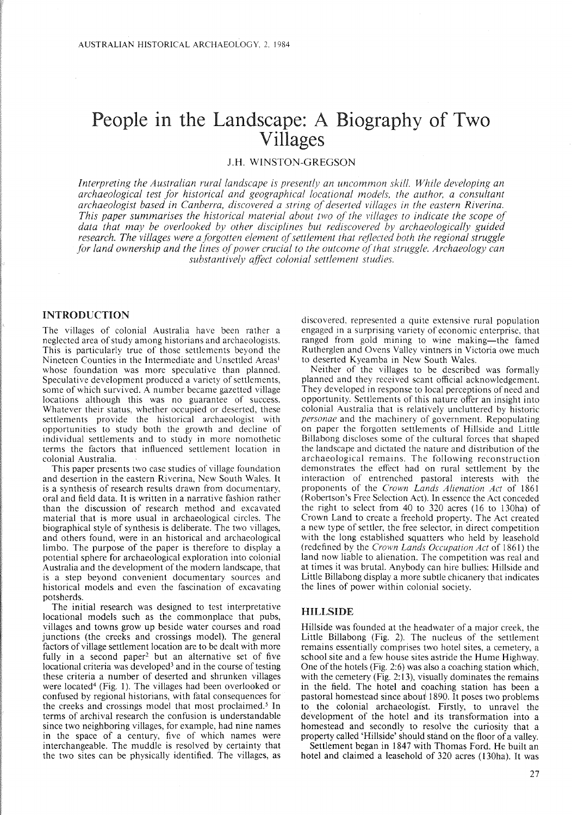# People in the Landscape: A Biography of Two Villages

# J.H. WINSTON-GREGSON

*Interpreting the Australian rural landscape is presently an uncommon skill. While developing an archaeological test for historical and geographical locational models, the author, a consultant archaeologist based in Canberra, discovered a string of deserted villages in the eastern Riverina. This paper summarises the historical material about two of the villages to indicate the scope of data that may be overlooked by other disciplines but rediscovered by archaeologically guided research. The villages were a forgotten element ofsettlement that reflected both the regional struggle for* land *ownership* and the lines of power crucial to the *outcome* of that struggle. Archaeology can *substantively affect colonial settlement studies.*

## INTRODUCTION

The villages of colonial Australia have been rather a neglected area of study among historians and archaeologists. This is particularly true of those settlements beyond the Nineteen Counties in the Intermediate and Unsettled Areas' whose foundation was more speculative than planned. Speculative development produced a variety of settlements, some of which survived. A number became gazetted village locations although this was no guarantee of success. Whatever their status, whether occupied or deserted, these settlements provide the historical archaeologist with opportunities to study both the growth and decline of individual settlements and to study in more nomothetic terms the factors that influenced settlement location in colonial Australia.

This paper presents two case studies of village foundation and desertion in the eastern Riverina, New South Wales. It is a synthesis of research results drawn from documentary, oral and field data. It is written in a narrative fashion rather than the discussion of research method and excavated material that is more usual in archaeological circles. The biographical style of synthesis is deliberate. The two villages, and others found, were in an historical and archaeological limbo. The purpose of the paper is therefore to display a potential sphere for archaeological exploration into colonial Australia and the development of the modern landscape, that is a step beyond convenient documentary sources and historical models and even the fascination of excavating potsherds.

The initial research was designed to test interpretative locational models such as the commonplace that pubs, villages and towns grow up beside water courses and road junctions (the creeks and crossings model). The general factors of village settlement location are to be dealt with more fully in a second paper<sup>2</sup> but an alternative set of five locational criteria was developed<sup>3</sup> and in the course of testing these criteria a number of deserted and shrunken villages were located<sup>4</sup> (Fig. 1). The villages had been overlooked or confused by regional historians, with fatal consequences for the creeks and crossings model that most proclaimed.' **In** terms of archival research the confusion is understandable since two neighboring villages, for example, had nine names in the space of a century, five of which names were interchangeable. The muddle is resolved by certainty that the two sites can be physically identified. The villages, as discovered, represented a quite extensive rural population engaged in a surprising variety of economic enterprise, that ranged from gold mining to wine making—the famed Rutherglen and Ovens Valley vintners in Victoria owe much to deserted Kyeamba in New South Wales.

Neither of the villages to be described was formally planned and they received scant official acknowledgement. They developed in response to local perceptions of need and opportunity. Settlements of this nature offer an insight into colonial Australia that is relatively uncluttered by historic *personae* and the machinery of government. Repopulating on paper the forgotten settlements of Hillside and Little Billabong discloses some of the cultural forces that shaped the landscape and dictated the nature and distribution of the archaeological remains. The following reconstruction demonstrates the effect had on rural settlement by the interaction of entrenched pastoral interests with the proponents of the *Crown Lands Alienation Act* of 1861 (Robertson's Free Selection Act). **In** essence the Act conceded the right to select from 40 to 320 acres (16 to l30ha) of Crown Land to create a freehold property. The Act created a new type of settler, the free selector, in direct competition with the long established squatters who held by leasehold (redefined by the *Crown Lands Occupation Act* of 1861) the land now liable to alienation. The competition was real and at times it was brutal. Anybody can hire bullies: Hillside and Little Billabong display a more subtle chicanery that indicates the lines of power within colonial society.

## HILLSIDE

Hillside was founded at the headwater of a major creek, the Little Billabong (Fig. 2). The nucleus of the settlement remains essentially comprises two hotel sites, a cemetery, a school site and a few house sites astride the Hume Highway. One of the hotels (Fig. 2:6) was also a coaching station which, with the cemetery (Fig. 2:13), visually dominates the remains in the field. The hotel and coaching station has been a pastoral homestead since about 1890. It poses two problems to the colonial archaeologist. Firstly, to unravel the development of the hotel and its transformation into a homestead and secondly to resolve the curiosity that a property called'Hillside' should stand on the floor of a valley.

Settlement began in 1847 with Thomas Ford. He built an hotel and claimed a leasehold of 320 acres (130ha). It was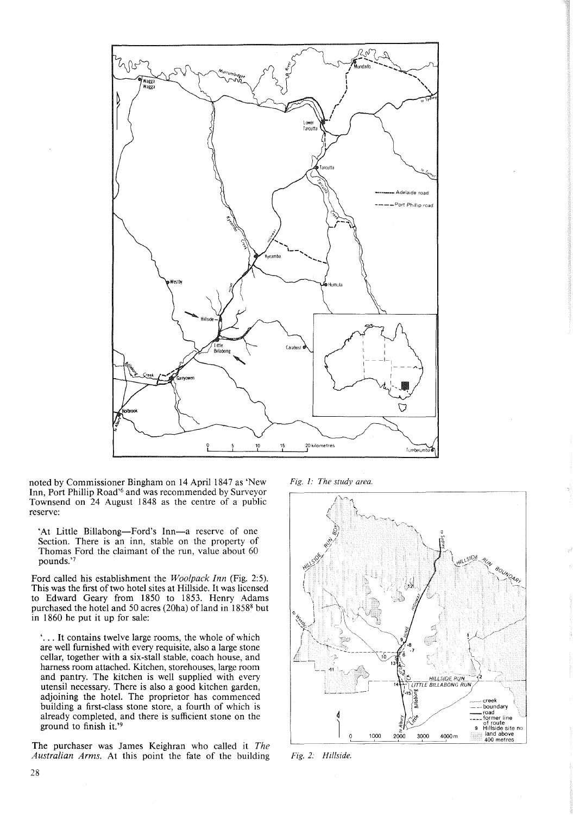

noted by Commissioner Bingham on 14 April 1847 as 'New Inn, Port Phillip Road<sup>'6</sup> and was recommended by Surveyor Townsend on 24 August 1848 as the centre of a public reserve:

'At Little Billabong-Ford's Inn-a reserve of one Section. There is an inn, stable on the property of Thomas Ford the claimant of the run, value about 60 pounds.'?

Ford called his establishment the *Woo/pack Inn* (Fig. 2:5). This was the first of two hotel sites at Hillside. It was licensed to Edward Geary from 1850 to 1853. Henry Adams purchased the hotel and 50 acres (20ha) of land in  $1858<sup>8</sup>$  but in 1860 he put it up for sale:

'... It contains twelve large rooms, the whole of which are well furnished with every requisite, also a large stone cellar, together with a six-stall stable, coach house, and harness room attached. Kitchen, storehouses, large room and pantry. The kitchen is well supplied with every utensil necessary. There is also a good kitchen garden, adjoining the hotel. The proprietor has commenced building a first-class stone store, a fourth of which is already completed, and there is sufficient stone on the ground to finish it.'<sup>9</sup>

The purchaser was James Keighran who called it *The Australian Arms.* At this point the fate of the building

*Fig.* 1: *The study area.*



*Fig.* 2: *Hillside.*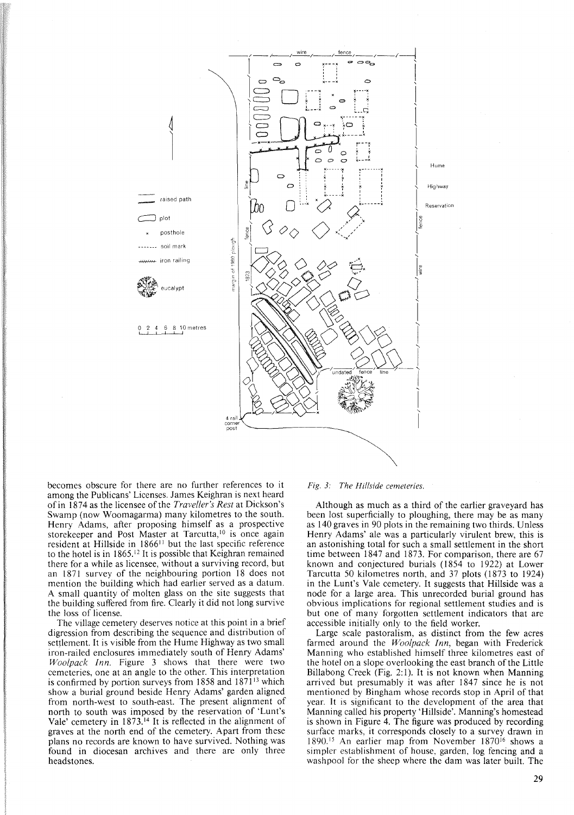

becomes obscure for there are no further references to it among the Publicans' Licenses. James Keighran is next heard ofin 1874 as the licensee ofthe *Traveller's Rest* at Dickson's Swamp (now Woomagarma) many kilometres to the south, Henry Adams, after proposing himself as a prospective storekeeper and Post Master at Tarcutta,<sup>10</sup> is once again resident at Hillside in 186611 but the last specific reference to the hotel is in 1865.<sup>12</sup> It is possible that Keighran remained there for a while as licensee, without a surviving record, but an 1871 survey of the neighbouring portion 18 does not mention the building which had earlier served as a datum. A small quantity of molten glass on the site suggests that the building suffered from fire. Clearly it did not long survive the loss of license.

The village cemetery deserves notice at this point in a brief digression from describing the sequence and distribution of settlement. It is visible from the Hume Highway as two small iron-railed enclosures immediately south of Henry Adams' *Woo/pack Inn.* Figure 3 shows that there were two cemeteries, one at an angle to the other. This interpretation is confirmed by portion surveys from  $1858$  and  $1871^{13}$  which show a burial ground beside Henry Adams' garden aligned from north-west to south-east. The present alignment of north to south was imposed by the reservation of 'Lunt's Vale' cemetery in 1873.<sup>14</sup> It is reflected in the alignment of graves at the north end of the cemetery. Apart from these plans no records are known to have survived. Nothing was found in diocesan archives and there are only three headstones.

#### *Fig.* 3: *The Hillside cemeteries.*

Although as much as a third of the earlier graveyard has been lost superficially to ploughing, there may be as many as 140 graves in 90 plots in the remaining two thirds. Unless Henry Adams' ale was a particularly virulent brew, this is an astonishing total for such a small settlement in the short time between 1847 and 1873, For comparison, there are 67 known and conjectured burials (1854 to 1922) at Lower Tarcutta 50 kilometres north, and 37 plots (1873 to 1924) in the Lunt's Vale cemetery. It suggests that Hillside was a node for a large area. This unrecorded burial ground has obvious implications for regional settlement studies and is but one of many forgotten settlement indicators that are accessible initially only to the field worker.

Large scale pastoralism, as distinct from the few acres farmed around the *Woo/pack Inn,* began with Frederick Manning who established himself three kilometres east of the hotel on a slope overlooking the east branch of the Little Billabong Creek (Fig. 2:1), It is not known when Manning arrived but presumably it was after 1847 since he is not mentioned by Bingham whose records stop in April of that year. It is significant to the development of the area that Manning called his property 'Hillside'. Manning's homestead is shown in Figure 4. The figure was produced by recording surface marks, it corresponds closely to a survey drawn in 1890.15 An earlier map from November 187016 shows a simpler establishment of house, garden, log fencing and a washpool for the sheep where the dam was later built. The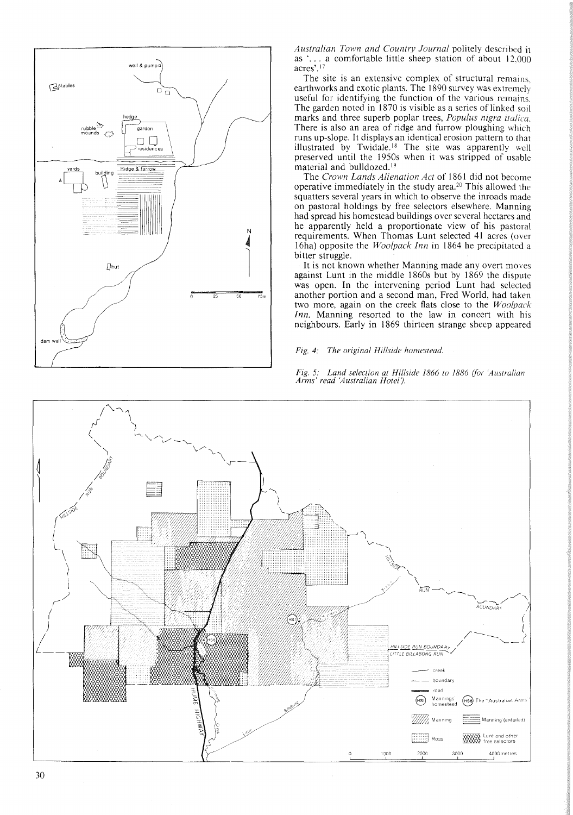

*Australian Town and Country Journal* politely described it as '... a comfortable little sheep station of about  $12,000$ acres'.<sup>17</sup>

The site is an extensive complex of structural remains. earthworks and exotic plants. The 1890 survey was extremely useful for identifying the function of the various remains. The garden noted in 1870 is visible as a series of linked soil marks and three superb poplar trees, *Populus nigra itaiica.* There is also an area of ridge and furrow ploughing which runs up-slope. It displays an identical erosion pattern to that illustrated by Twidale.<sup>18</sup> The site was apparently well preserved until the 1950s when it was stripped of usable material and bulldozed.<sup>19</sup>

The *Crown Lands Alienation Act* of 1861 did not become operative immediately in the study area.<sup>20</sup> This allowed the squatters several years in which to observe the inroads made on pastoral holdings by free selectors elsewhere. Manning had spread his homestead buildings over several hectares and he apparently held a proportionate view of his pastoral requirements. When Thomas Lunt selected 41 acres (over 16ha) opposite the *Woolpack Inn* in 1864 he precipitated a bitter struggle.

It is not known whether Manning made any overt moves against Lunt in the middle 1860s but by 1869 the dispute was open. In the intervening period Lunt had selected another portion and a second man, Fred World, had taken two more, again on the creek flats close to the *Woolpack Inn.* Manning resorted to the law in concert with his neighbours. Early in 1869 thirteen strange sheep appeared

#### *Fig.* 4: *The original Hillside homestead.*

*Fig.* 5: *Land selection at Hillside* 1866 *to* 1886 *(for 'Australian Arms' read Australian Hotel') .*

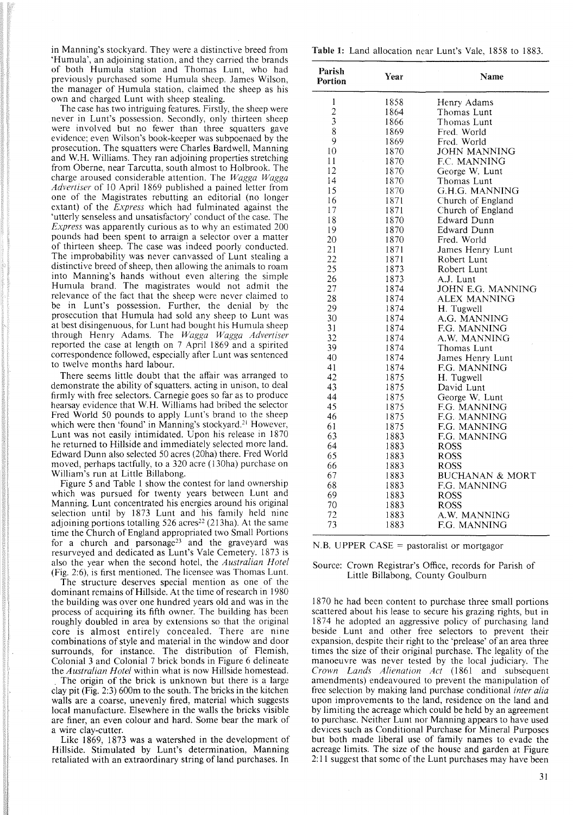in Manning's stockyard. They were a distinctive breed from 'Humula', an adjoining station, and they carried the brands of both Humula station and Thomas Lunt, who had previously purchased some Humula sheep. James Wilson, the manager of Humula station, claimed the sheep as his own and charged Lunt with sheep stealing.

The case has two intriguing features. Firstly, the sheep were never in Lunt's possession. Secondly, only thirteen sheep were involved but no fewer than three squatters gave evidence; even Wilson's book-keeper was subpoenaed by the prosecution. The squatters were Charles Bardwell, Manning and W.H. Williams. They ran adjoining properties stretching from Oberne, near Tarcutta, south almost to Holbrook. The charge aroused considerable attention. The *Wagga Wagga Advertiser* of 10 April 1869 published a pained letter from one of the Magistrates rebutting an editorial (no longer extant) of the *Express* which had fulminated against the 'utterly senseless and unsatisfactory' conduct of the case. The *Express* was apparently curious as to why an estimated 200 pounds had been spent to arraign a selector over a matter of thirteen sheep. The case was indeed poorly conducted. The improbability was never canvassed of Lunt stealing a distinctive breed of sheep, then allowing the animals to roam into Manning's hands without even altering the simple Humula brand. The magistrates would not admit the relevance of the fact that the sheep were never claimed to be in Lunt's possession. Further, the denial by the prosecution that Humula had sold any sheep to Lunt was at best disingenuous, for Lunt had bought his Humula sheep through Henry Adams. The *Wagga Wagga Advertiser* reported the case at length on 7 April 1869 and a spirited correspondence followed, especially after Lunt was sentenced to twelve months hard labour.

There seems little doubt that the affair was arranged to demonstrate the ability of squatters, acting in unison, to deal firmly with free selectors. Carnegie goes so far as to produce hearsay evidence that W.H. Williams had bribed the selector Fred World 50 pounds to apply Lunt's brand to the sheep which were then 'found' in Manning's stockyard.<sup>21</sup> However, Lunt was not easily intimidated. Upon his release in 1870 he returned to Hillside and immediately selected more land. Edward Dunn also selected 50 acres (20ha) there. Fred World moved, perhaps tactfully, to a 320 acre (130ha) purchase on William's run at Little Billabong.

Figure 5 and Table I show the contest for land ownership which was pursued for twenty years between Lunt and Manning. Lunt concentrated his energies around his original selection until by 1873 Lunt and his family held nine adjoining portions totalling  $526$  acres<sup>22</sup> (213ha). At the same time the Church of England appropriated two Small Portions for a church and parsonage<sup>23</sup> and the graveyard was resurveyed and dedicated as Lunt's Vale Cemetery. 1873 is also the year when the second hotel, the *Australian Hotel* (Fig. 2:6), is first mentioned. The licensee was Thomas Lunt.

The structure deserves special mention as one of the dominant remains of Hillside. At the time of research in 1980 the building was over one hundred years old and was in the process of acquiring its fifth owner. The building has been roughly doubled in area by extensions so that the original core is almost entirely concealed. There are nine combinations of style and material in the window and door surrounds, for instance. The distribution of Flemish, Colonial 3 and Colonial 7 brick bonds in Figure 6 delineate the *Australian Hotel* within what is now Hillside homestead.

The origin of the brick is unknown but there is a large clay pit (Fig. 2:3) 600m to the south. The bricks in the kitchen walls are a coarse, unevenly fired, material which suggests local manufacture. Elsewhere in the walls the bricks visible are finer, an even colour and hard. Some bear the mark of a wire clay-cutter.

Like 1869, 1873 was a watershed in the development of Hillside. Stimulated by Lunt's determination, Manning retaliated with an extraordinary string of land purchases. In

Table 1: Land allocation near Lunt's Vale, 1858 to 1883.

| Parish<br>Portion | Year | Name                                |
|-------------------|------|-------------------------------------|
| $\mathbf{l}$      | 1858 | Henry Adams                         |
| $\frac{2}{3}$     | 1864 | Thomas Lunt                         |
|                   | 1866 | Thomas Lunt                         |
| 8                 | 1869 | Fred. World                         |
| 9                 | 1869 | Fred. World                         |
| 10                | 1870 | JOHN MANNING                        |
| 11                | 1870 | F.C. MANNING                        |
| 12                | 1870 | George W. Lunt                      |
| 14                | 1870 | Thomas Lunt                         |
| 15                | 1870 | G.H.G. MANNING                      |
| 16                | 1871 | Church of England                   |
| 17                | 1871 | Church of England                   |
| 18                | 1870 | Edward Dunn                         |
| 19                | 1870 | Edward Dunn                         |
| 20                | 1870 | Fred. World                         |
| 21                | 1871 | James Henry Lunt                    |
| 22                | 1871 | Robert Lunt                         |
| 25                | 1873 | Robert Lunt                         |
| 26                | 1873 | A.J. Lunt                           |
| 27                | 1874 | JOHN E.G. MANNING                   |
| 28                | 1874 | <b>ALEX MANNING</b>                 |
| 29                | 1874 | H. Tugwell                          |
| 30                | 1874 | A.G. MANNING                        |
| 31                | 1874 | F.G. MANNING                        |
| 32                | 1874 | A.W. MANNING                        |
| 39                | 1874 | Thomas Lunt                         |
| 40                | 1874 | James Henry Lunt                    |
| 41                | 1874 | F.G. MANNING                        |
| 42                | 1875 |                                     |
| 43                | 1875 | H. Tugwell<br>David Lunt            |
| 44                | 1875 |                                     |
| 45                | 1875 | George W. Lunt                      |
| 46                | 1875 | F.G. MANNING<br><b>F.G. MANNING</b> |
|                   |      |                                     |
| 61<br>63          | 1875 | F.G. MANNING                        |
|                   | 1883 | F.G. MANNING                        |
| 64                | 1883 | <b>ROSS</b>                         |
| 65                | 1883 | <b>ROSS</b>                         |
| 66                | 1883 | <b>ROSS</b>                         |
| 67                | 1883 | <b>BUCHANAN &amp; MORT</b>          |
| 68                | 1883 | F.G. MANNING                        |
| 69                | 1883 | <b>ROSS</b>                         |
| 70                | 1883 | <b>ROSS</b>                         |
| 72                | 1883 | A.W. MANNING                        |
| 73                | 1883 | F.G. MANNING                        |

N. B. UPPER CASE <sup>=</sup> pastoralist or mortgagor

Source: Crown Registrar's Office, records for Parish of Little Billabong, County Goulburn

1870 he had been content to purchase three small portions scattered about his lease to secure his grazing rights, but in 1874 he adopted an aggressive policy of purchasing land beside Lunt and other free selectors to prevent their expansion, despite their right to the 'prelease' of an area three times the size of their original purchase. The legality of the manoeuvre was never tested by the local judiciary. The *Crown Lands Alienation Act* (1861 and subsequent amendments) endeavoured to prevent the manipulation of free selection by making land purchase conditional *inter alia* upon improvements to the land, residence on the land and by limiting the acreage which could be held by an agreement to purchase. Neither Lunt nor Manning appears to have used devices such as Conditional Purchase for Mineral Purposes but both made liberal use of family names to evade the acreage limits. The size of the house and garden at Figure 2: 11 suggest that some of the Lunt purchases may have been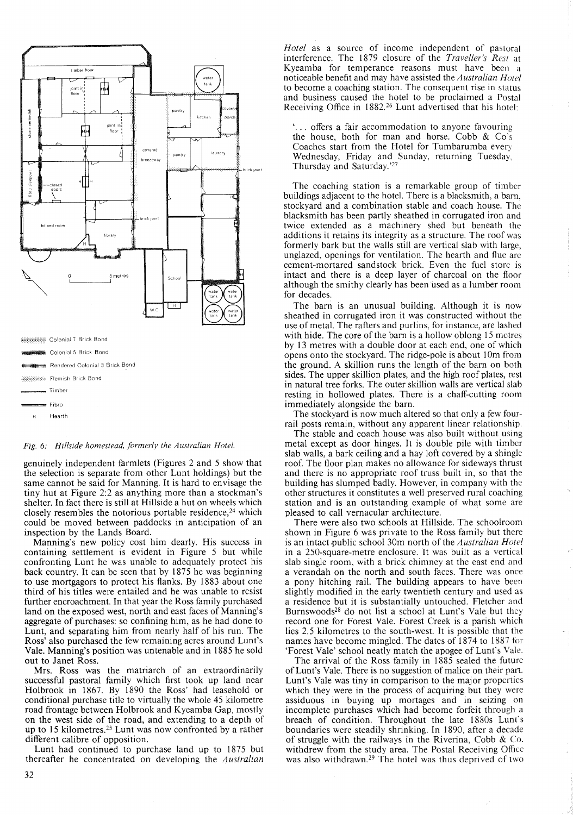

#### *Fig.* 6: *Hillside homestead, formerly the Australian Hotel.*

genuinely independent farmlets (Figures 2 and 5 show that the selection is separate from other Lunt holdings) but the same cannot be said for Manning. It is hard to envisage the tiny hut at Figure 2:2 as anything more than a stockman's shelter. In fact there is still at Hillside a hut on wheels which closely resembles the notorious portable residence, $24$  which could be moved between paddocks in anticipation of an inspection by the Lands Board.

Manning's new policy cost him dearly. His success in containing settlement is evident in Figure 5 but while confronting Lunt he was unable to adequately protect his back country. It can be seen that by 1875 he was beginning to use mortgagors to protect his flanks. By 1883 about one third of his titles were entailed and he was unable to resist further encroachment. In that year the Ross family purchased land on the exposed west, north and east faces of Manning's aggregate of purchases: so confining him, as he had done to Lunt, and separating him from nearly half of his run. The Ross' also purchased the few remaining acres around Lunt's Vale. Manning's position was untenable and in 1885 he sold out to Janet Ross.

Mrs. Ross was the matriarch of an extraordinarily successful pastoral family which first took up land near Holbrook in 1867. By 1890 the Ross' had leasehold or conditional purchase title to virtually the whole 45 kilometre road frontage between Holbrook and Kyeamba Gap, mostly on the west side of the road, and extending to a depth of up to 15 kilometres.<sup>25</sup> Lunt was now confronted by a rather different calibre of opposition.

Lunt had continued to purchase land up to 1875 but thereafter he concentrated on developing the *Australian*

*Hotel* as a source of income independent of pastoral interference. The 1879 closure of the *Traveller's Rest* at Kyeamba for temperance reasons must have been a noticeable benefit and may have assisted the *Australian Hotel* to become a coaching station. The consequent rise in status and business caused the hotel to be proclaimed a Postal Receiving Office in 1882.26 Lunt advertised that his hotel:

'... offers a fair accommodation to anyone favouring the house, both for man and horse. Cobb  $& Co's$ Coaches start from the Hotel for Tumbarumba every Wednesday, Friday and Sunday, returning Tuesday. Thursday and Saturday.'<sup>27</sup>

The coaching station is a remarkable group of timber buildings adjacent to the hotel. There is a blacksmith, a barn. stockyard and a combination stable and coach house. The blacksmith has been partly sheathed in corrugated iron and twice extended as a machinery shed but beneath the additions it retains its integrity as a structure. The roof was formerly bark but the walls still are vertical slab with large, unglazed, openings for ventilation. The hearth and flue are cement-mortared sandstock brick. Even the fuel store is intact and there is a deep layer of charcoal on the floor although the smithy clearly has been used as a lumber room for decades.

The barn is an unusual building. Although it is now sheathed in corrugated iron it was constructed without the use of metal. The rafters and purlins, for instance, are lashed with hide. The core of the barn is a hollow oblong 15 metres by 13 metres with a double door at each end, one of which opens onto the stockyard. The ridge-pole is about 10m from the ground. A skillion runs the length of the barn on both sides. The upper skillion plates, and the high roof plates, rest in natural tree forks. The outer skillion walls are vertical slab resting in hollowed plates. There is a chaff-cutting room immediately alongside the barn.

The stockyard is now much altered so that only a few fourrail posts remain, without any apparent linear relationship.

The stable and coach house was also built without using metal except as door hinges. It is double pile with timber slab walls, a bark ceiling and a hay loft covered by a shingle roof. The floor plan makes no allowance for sideways thrust and there is no appropriate roof truss built in, so that the building has slumped badly. However, in company with the other structures it constitutes a well preserved rural coaching station and is an outstanding example of what some are pleased to call vernacular architecture. .

There were also two schools at Hillside. The schoolroom shown in Figure 6 was private to the Ross family but there is an intact public school 30m north of the *Australian Hotel* in a 250-square-metre enclosure. It was built as a vertical slab single room, with a brick chimney at the east end and a verandah on the north and south faces. There was once a pony hitching rail. The building appears to have been slightly modified in the early twentieth century and used as a residence but it is substantially untouched. Fletcher and Burnswoods<sup>28</sup> do not list a school at Lunt's Vale but they record one for Forest Vale. Forest Creek is a parish which lies 2.5 kilometres to the south-west. It is possible that the names have become mingled. The dates of 1874 to 1887 for 'Forest Vale' school neatly match the apogee of Lunt's Vale.

The arrival of the Ross family in 1885 sealed the future of Lunt's Vale. There is no suggestion of malice on their part. Lunt's Vale was tiny in comparison to the major properties which they were in the process of acquiring but they were assiduous in buying up mortages and in seizing on incomplete purchases which had become forfeit through a breach of condition. Throughout the late 1880s Lunt's boundaries were steadily shrinking. In 1890, after a decade of struggle with the railways in the Riverina, Cobb & Co. withdrew from the study area. The Postal Receiving Office was also withdrawn.<sup>29</sup> The hotel was thus deprived of two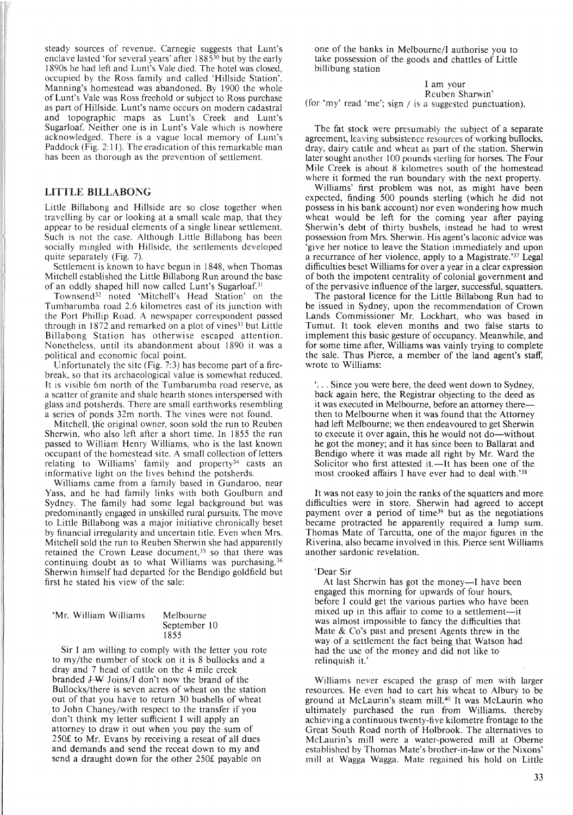steady sources of revenue. Carnegie suggests that Lunt's enclave lasted 'for several years' after 188530 but by the early 1890s he had left and Lunt's Vale died. The hotel was closed, occupied by the Ross family and called 'Hillside Station'. Manning's homestead was abandoned. By 1900 the whole of Lunt's Vale was Ross freehold or subject to Ross purchase as part of Hillside. Lunt's name occurs on modern cadastral and topographic maps as Lunt's Creek and Lunt's Sugarloaf. Neither one is in Lunt's Vale which is nowhere acknowledged. There is a vague local memory of Lunt's Paddock (Fig. 2:11). The eradication of this remarkable man has been as thorough as the prevention of settlement.

## LITTLE BILLABONG

Little Billabong and Hillside are so close together when travelling by car or looking at a small scale map, that they appear to be residual elements of a single linear settlement. Such is not the case. Although Little Billabong has been socially mingled with Hillside, the settlements developed quite separately (Fig. 7).

Settlement is known to have begun in 1848, when Thomas Mitchell established the Little Billabong Run around the base of an oddly shaped hill now called Lunt's Sugarloaf.<sup>31</sup>

Townsend<sup>32</sup> noted 'Mitchell's Head Station' on the Tumbarumba road 2.6 kilometres east of its junction with the Port Phillip Road. A newspaper correspondent passed through in  $1872$  and remarked on a plot of vines<sup>33</sup> but Little Billabong Station has otherwise escaped attention. Nonetheless, until its abandonment about 1890 it was a political and economic focal point.

Unfortunately the site (Fig. 7:3) has become part of a firebreak, so that its archaeological value is somewhat reduced. It is visible 6m north of the Tumbarumba road reserve, as a scatter of granite and shale hearth stones interspersed with glass and potsherds. There are small earthworks resembling a series of ponds 32m north. The vines were not found.

Mitchell, the original owner, soon sold the run to Reuben Sherwin, who also left after a short time. In 1855 the run passed to William Henry Williams, who is the last known occupant of the homestead site. A small collection of letters relating to Williams' family and property<sup>34</sup> casts an informative light on the lives behind the potsherds.

Williams came from a family based in Gundaroo, near Yass, and he had family links with both Goulburn and Sydney. The family had some legal background but was predominantly engaged in unskilled rural pursuits. The move to Little Billabong was a major initiative chronically beset by financial irregularity and uncertain title. Even when Mrs. Mitchell sold the run to Reuben Sherwin she had apparently retained the Crown Lease document.<sup>35</sup> so that there was continuing doubt as to what Williams was purchasing.<sup>36</sup> Sherwin himself had departed for the Bendigo goldfield but first he stated his view of the sale:

|  | 'Mr. William Williams |  |
|--|-----------------------|--|
|  |                       |  |

### Melbourne September 10 1855

Sir I am willing to comply with the letter you rote to my/the number of stock on it is 8 bullocks and a dray and 7 head of cattle on the 4 mile creek branded J-W Joins/I don't now the brand of the Bullocks/there is seven acres of wheat on the station out of that you have to return 30 bushells of wheat . to John Chancy/with respect to the transfer if you don't think my letter sufficient I will apply an attorney to draw it out when you pay the sum of 250£ to Mr. Evans by receiving a reseat of all dues and demands and send the receat down to my and send a draught down for the other 250£ payable on

one of the banks in Melbourne/I authorise you to take possession of the goods and chattles of Little billibung station

> I am your Reuben Sharwin'

(for 'my' read 'me'; sign / is a suggested punctuation).

The fat stock were presumably the subject of a separate agreement, leaving subsistence resources of working bullocks, dray, dairy cattle and wheat as part of the station. Sherwin later sought another 100 pounds sterling for horses. The Four Mile Creek is about 8 kilometres south of the homestead where it formed the run boundary with the next property.

Williams' first problem was not, as might have been expected, finding 500 pounds sterling (which he did not possess in his bank account) nor even wondering how much wheat would be left for the coming year after paying Sherwin's debt of thirty bushels, instead he had to wrest possession from Mrs. Sherwin. His agent's laconic advice was 'give her notice to leave the Station immediately and upon a recurrance of her violence, apply to a Magistrate.'37 Legal difficulties beset Williams for over a year in a clear expression of both the impotent centrality of colonial government and of the pervasive influence of the larger, successful, squatters.

The pastoral licence for the Little Billabong Run had to be issued in Sydney, upon the recommendation of Crown Lands Commissioner Mr. Lockhart, who was based in Tumut. It took eleven months and two false starts to implement this basic gesture of occupancy. Meanwhile, and for some time after, Williams was vainly trying to complete the sale. Thus Pierce, a member of the land agent's staff, wrote to Williams:

'... Since you were here, the deed went down to Sydney, back again here, the Registrar objecting to the deed as it was executed in Melbourne, before an attorney there then to Melbourne when it was found that the Attorney had left Melbourne; we then endeavoured to get Sherwin to execute it over again, this he would not do—without he got the money; and it has since been to Ballarat and Bendigo where it was made all right by Mr. Ward the Solicitor who first attested it.—It has been one of the most crooked affairs I have ever had to deal with.'3

It was not easy to join the ranks of the squatters and more difficulties were in store. Sherwin had agreed to accept payment over a period of time<sup>39</sup> but as the negotiations became protracted he apparently required a lump sum. Thomas Mate of Tarcutta, one of the major figures in the Riverina, also became involved in this. Pierce sent Williams another sardonic revelation.

#### 'Dear Sir

At last Sherwin has got the money—I have been engaged this morning for upwards of four hours, before I could get the various parties who have been mixed up in this affair to come to a settlement-it was almost impossible to fancy the difficulties that Mate & Co's past and present Agents threw in the way of a settlement the fact being that Watson had had the use of the money and did not like to relinquish it.'

Williams never escaped the grasp of men with larger resources. He even had to cart his wheat to Albury to be ground at McLaurin's steam mill.<sup>40</sup> It was McLaurin who ultimately purchased the run from Williams, thereby achieving a continuous twenty-five kilometre frontage to the Great South Road north of Holbrook. The alternatives to McLaurin's mill were a water-powered mill at Oberne established by Thomas Mate's brother-in-law or the Nixons' mill at Wagga Wagga. Mate regained his hold on Little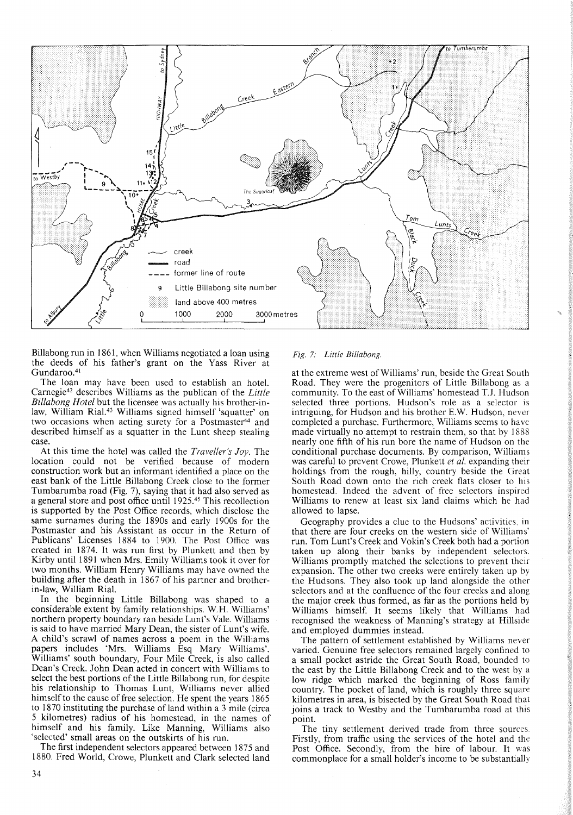

Billabong run in 1861, when Williams negotiated a loan using the deeds of his father's grant on the Yass River at Gundaroo.<sup>41</sup>

The loan may have been used to establish an hotel. Carnegie<sup>42</sup> describes Williams as the publican of the *Little Billabong Hotel* but the licensee was actually his brother-inlaw, William Rial.<sup>43</sup> Williams signed himself 'squatter' on two occasions when acting surety for a Postmaster<sup>44</sup> and described himself as a squatter in the Lunt sheep stealing case.

At this time the hotel was called the *Traveller's Joy.* The location could not be verified because of modern construction work but an informant identified a place on the east bank of the Little Billabong Creek close to the former Tumbarumba road (Fig. 7), saying that it had also served as a general store and post office until 1925.45 This recollection is supported by the Post Office records, which disclose the same surnames during the l890s and early 1900s for the Postmaster and his Assistant as occur in the Return of Publicans' Licenses 1884 to 1900. The Post Office was created in 1874. It was run first by Plunkett and then by Kirby until 1891 when Mrs. Emily Williams took it over for two months. William Henry Williams may have owned the building after the death in 1867 of his partner and brotherin-law, William Rial.

**In** the beginning Little Billabong was shaped to a considerable extent by family relationships. W.H. Williams' northern property boundary ran beside Lunt's Vale. Williams is said to have married Mary Dean, the sister of Lunt's wife. A child's scrawl of names across a poem in the Williams papers includes 'Mrs. Williams Esq Mary Williams'. Williams' south boundary, Four Mile Creek, is also called Dean's Creek. John Dean acted in concert with Williams to select the best portions of the Little Billabong run, for despite his relationship to Thomas Lunt, Williams never allied himself to the cause of free selection. He spent the years 1865 to 1870 instituting the purchase of land within a 3 mile (circa 5 kilometres) radius of his homestead, in the names of himself and his family. Like Manning, Williams also 'selected' small areas on the outskirts of his run.

The first independent selectors appeared between 1875 and 1880. Fred World, Crowe, Plunkett and Clark selected land

## *Fig.* 7: *Little Billabong.*

at the extreme west of Williams' run, beside the Great South Road. They were the progenitors of Little Billabong as a community. To the east of Williams' homestead T.J. Hudson selected three portions. Hudson's role as a selector is intriguing, for Hudson and his brother E.W. Hudson, never completed a purchase. Furthermore, Williams seems to have made virtually no attempt to restrain them, so that by 1888 nearly one fifth of his run bore the name of Hudson on the conditional purchase documents. By comparison, Williams was careful to prevent Crowe, Plunkett *et al.* expanding their holdings from the rough, hilly, country beside the Great South Road down onto the rich creek flats closer to his homestead. Indeed the advent of free selectors inspired Williams to renew at least six land claims which he had allowed to lapse.

Geography provides a clue to the Hudsons' activities, in that there are four creeks on the western side of Williams' run. Tom Lunt's Creek and Vokin's Creek both had a portion taken up along their banks by independent selectors. Williams promptly matched the selections to prevent their expansion. The other two creeks were entirely taken up by the Hudsons. They also took up land alongside the other selectors and at the confluence of the four creeks and along the major creek thus formed, as far as the portions held by Williams himself. It seems likely that Williams had recognised the weakness of Manning's strategy at Hillside and employed dummies instead.

The pattern of settlement established by Williams never varied. Genuine free selectors remained largely confined to a small pocket astride the Great South Road, bounded to the east by the Little Billabong Creek and to the west by a low ridge which marked the beginning of Ross family country. The pocket of land, which is roughly three square kilometres in area, is bisected by the Great South Road that joins a track to Westby and the Tumbarumba road at this point.

The tiny settlement derived trade from three sources. Firstly, from traffic using the services of the hotel and the Post Office. Secondly, from the hire of labour. It was commonplace for a small holder's income to be substantially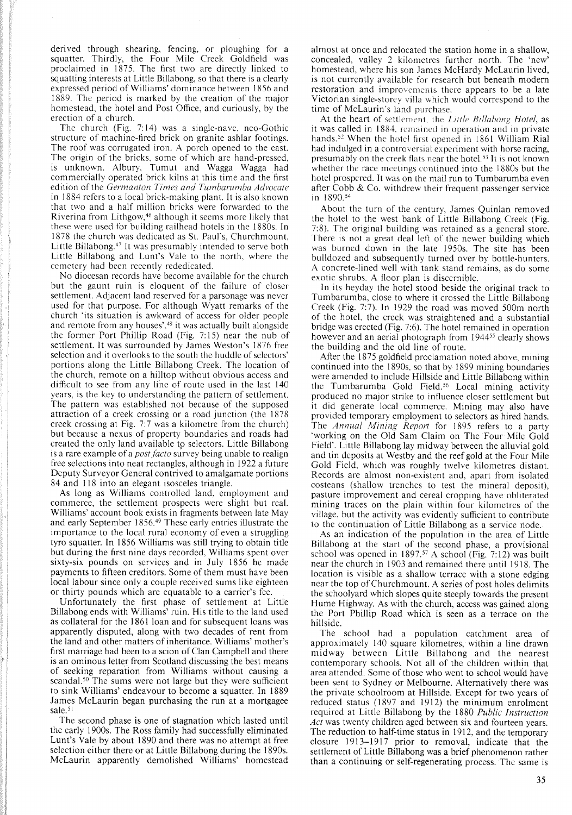derived through shearing, fencing, or ploughing for a squatter. Thirdly, the Four Mile Creek Goldfield was proclaimed in 1875. The first two are directly linked to squatting interests at Little Billabong, so that there is a clearly expressed period of Williams' dominance between 1856 and 1889. The period is marked by the creation of the major homestead, the hotel and Post Office, and curiously, by the erection of a church.

The church (Fig. 7:14) was a single-nave, neo-Gothic structure of machine-fired brick on granite ashlar footings. The roof was corrugated iron. A porch opened to the east. The origin of the bricks, some of which are hand-pressed, is unknown. Albury, Tumut and Wagga Wagga had commercially operated brick kilns at this time and the first edition of the *Germanton Times and Tumbarumba Advocate* in 1884 refers to a local brick-making plant. It is also known that two and a half million bricks were forwarded to the Riverina from Lithgow,<sup>46</sup> although it seems more likely that these were used for building railhead hotels in the 1880s. In 1878 the church was dedicated as St. Paul's, Churchrnount, Little Billabong.<sup>47</sup> It was presumably intended to serve both Little Billabong and Lunt's Vale to the north, where the cemetery had been recently rededicated.

No diocesan records have become available for the church but the gaunt ruin is eloquent of the failure of closer settlement. Adjacent land reserved for a parsonage was never used for that purpose. For although Wyatt remarks of the church 'its situation is awkward of access for older people and remote from any houses',<sup>48</sup> it was actually built alongside the former Port Phillip Road (Fig. 7: 15) near the nub of settlement. It was surrounded by James Weston's 1876 free selection and it overlooks to the south the huddle of selectors' portions along the Little Billabong Creek. The location of the church, remote on a hilltop without obvious access and difficult to see from any line of route used in the last 140 years, is the key to understanding the pattern of settlement. The pattern was established not because of the supposed attraction of a creek crossing or a road junction (the 1878 creek crossing at Fig. 7:7 was a kilometre from the church) but because a nexus of property boundaries and roads had created the only land available to selectors. Little Billabong is a rare example of a *post facto* survey being unable to realign free selections into neat rectangles, although in 1922 a future Deputy Surveyor General contrived to amalgamate portions 84 and 118 into an elegant isosceles triangle.

As long as Williams controlled land, employment and commerce, the settlement prospects were slight but real. Williams' account book exists in fragments between late May and early September 1856.49 These early entries illustrate the importance to the local rural economy of even a struggling tyro squatter. In 1856 Williams was still trying to obtain title but during the first nine days recorded, Williams spent over sixty-six pounds on services and in July 1856 he made payments to fifteen creditors. Some of them must have been local labour since only a couple received sums like eighteen or thirty pounds which are equatable to a carrier's fee.

Dnfortunately the first phase of settlement at Little Billabong ends with Williams' ruin. His title to the land used as collateral for the 1861 loan and for subsequent loans was apparently disputed, along with two decades of rent from the land and other matters of inheritance. Williams' mother's first marriage had been to a scion of Clan Campbell and there is an ominous letter from Scotland discussing the best means of seeking reparation from Williams without causing a scandal.<sup>50</sup> The sums were not large but they were sufficient to sink Williams' endeavour to become a squatter. In 1889 James McLaurin began purchasing the run at a mortgagee sale.<sup>51</sup>

The second phase is one of stagnation which lasted until the early 1900s. The Ross family had successfully eliminated Lunt's Vale by about 1890 and there was no attempt at free selection either there or at Little Billabong during the 1890s. McLaurin apparently demolished Williams' homestead almost at once and relocated the station home in a shallow, concealed, valley 2 kilometres further north. The 'new' homestead, where his son James McHardy McLaurin lived, is not currently available for research but beneath modern restoration and improvements there appears to be a late Victorian single-storey villa which would correspond to the time of McLaurin's land purchase.

At the heart of settlement. the *Little Billabong Hotel,* as it was called in 1884. remained in operation and in private hands.<sup>52</sup> When the hotel first opened in 1861 William Rial had indulged in a controversial experiment with horse racing, presumably on the creek flats near the hotel.<sup>53</sup> It is not known whether the race meetings continued into the 1880s but the hotel prospered. It was on the mail run to Tumbarumba even after Cobb & Co. withdrew their frequent passenger service in 1890. <sup>54</sup>

About the turn of the century, James Quinlan removed the hotel to the west bank of Little Billabong Creek (Fig. 7:8). The original building was retained as a general store. There is not a great deal left of the newer building which was burned down in the late 1950s. The site has been bulldozed and subsequently turned over by bottle-hunters. A concrete-lined well with tank stand remains, as do some exotic shrubs. A floor plan is discernible.

In its heyday the hotel stood beside the original track to Turnbarumba, close to where it crossed the Little Billabong Creek (Fig. 7:7). In 1929 the road was moved 500m north of the hotel, the creek was straightened and a substantial bridge was erected (Fig. 7:6). The hotel remained in operation however and an aerial photograph from 1944<sup>55</sup> clearly shows the building and the old line of route.

After the 1875 goldfield proclamation noted above, mining continued into the 1890s, so that by 1899 mining boundaries were amended to include Hillside and Little Billabong within the Tumbarumba Gold Field.<sup>56</sup> Local mining activity produced no major strike to influence closer settlement but it did generate local commerce. Mining may also have provided temporary employment to selectors as hired hands. The *Annual Mining Report* for 1895 refers to a party 'working on the Old Sam Claim on The Four Mile Gold Field'. Little Billabong lay midway between the alluvial gold and tin deposits at Westby and the reef gold at the Four Mile Gold Field, which was roughly twelve kilometres distant. Records are almost non-existent and, apart from isolated costeans (shallow trenches to test the mineral deposit), pasture improvement and cereal cropping have obliterated mining traces on the plain within four kilometres of the village, but the activity was evidently sufficient to contribute to the continuation of Little Billabong as a service node.

As an indication of the population in the area of Little Billabong at the start of the second phase, a provisional school was opened in 1897.<sup>57</sup> A school (Fig.  $7:12$ ) was built near the church in 1903 and remained there until 1918. The location is visible as a shallow terrace with a stone edging near the top of Churchmount. A series of post holes delimits the schoolyard which slopes quite steeply towards the present Hume Highway. As with the church, access was gained along the Port Phillip Road which is seen as a terrace on the hillside.

The school had a population catchment area of approximately 140 square kilometres, within a line drawn midway between Little Billabong and the nearest contemporary schools. Not all of the children within that area attended. Some of those who went to school would have been sent to Sydney or Melbourne. Alternatively there was the private schoolroom at Hillside. Except for two years of reduced status (1897 and 1912) the minimum enrolment required at Little Billabong by the 1880 *Public Instruction Act* was twenty children aged between six and fourteen years. The reduction to half-time status in 1912, and the temporary closure 1913-1917 prior to removal, indicate that the settlement of Little Billabong was a brief phenomenon rather than a continuing or self-regenerating process. The same is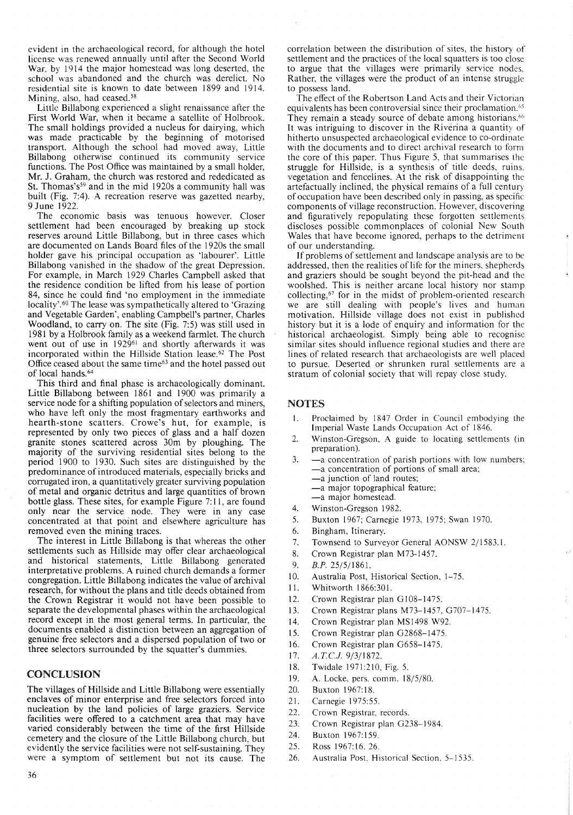evident in the archaeological record, for although the hotel license was renewed annually until after the Second World War, by 1914 the major homestead was long deserted, the school was abandoned and the church was derelict. No residential site is known to date between 1899 and 1914. Mining, also, had ceased.<sup>58</sup>

Little Billabong experienced a slight renaissance after the First World War, when it became a satellite of Holbrook. The small holdings provided a nucleus for dairying, which was made practicable by the beginning of motorised transport. Although the school had moved away, Little Billabong otherwise continued its community service functions. The Post Office was maintained by a small holder, Mr. J. Graham, the church was restored and rededicated as St. Thomas's<sup>59</sup> and in the mid 1920s a community hall was built (Fig. 7:4). A recreation reserve was gazetted nearby, 9 June 1922.

The economic basis was tenuous however. Closer settlement had been encouraged by breaking up stock reserves around Little Billabong, but in three cases which are documented on Lands Board files of the 1920s the small holder gave his principal occupation as 'labourer'. Little Billabong vanished in the shadow of the great Depression. For example, in March 1929 Charles Campbell asked that the residence condition be lifted from his lease of portion 84, since he could find 'no employment in the immediate locality'.<sup>60</sup> The lease was sympathetically altered to 'Grazing and Vegetable Garden', enabling Campbell's partner, Charles Woodland, to carry on. The site (Fig. 7:5) was still used in 1981 by a Holbrook family as a weekend farmlet. The church went out of use in 1929<sup>61</sup> and shortly afterwards it was incorporated within the Hillside Station lease.<sup>62</sup> The Post Office ceased about the same time<sup>63</sup> and the hotel passed out of local hands.<sup>64</sup>

This third and final phase is archaeologically dominant. Little Billabong between 1861 and 1900 was primarily a service node for a shifting population of selectors and miners, who have left only the most fragmentary earthworks and hearth-stone scatters. Crowe's hut, for example, is represented by only two pieces of glass and a half dozen granite stones scattered across 30m by ploughing. The majority of the surviving residential sites belong to the period 1900 to 1930. Such sites are distinguished by the predominance of introduced materials, especially bricks and corrugated iron, a quantitatively greater surviving population of metal and organic detritus and large quantities of brown bottle glass. These sites, for example Figure 7:II, are found only near the service node. They were in any case concentrated at that point and elsewhere agriculture has removed even the mining traces.

The interest in Little Billabong is that whereas the other settlements such as Hillside may offer clear archaeological and historical statements, Little Billabong generated interpretative problems. A ruined church demands a former congregation. Little Billabong indicates the value of archival research, for without the plans and title deeds obtained from the Crown Registrar it would not have been possible to separate the developmental phases within the archaeological record except in the most general terms. In particular, the documents enabled a distinction between an aggregation of genuine free selectors and a dispersed population of two or three selectors surrounded by the squatter's dummies.

## **CONCLUSION**

The villages of Hillside and Little Billabong were essentially enclaves of minor enterprise and free selectors forced into nucleation by the land policies of large graziers. Service facilities were offered to a catchment area that may have varied considerably between the time of the first Hillside cemetery and the closure of the Little Billabong church, but evidently the service facilities were not self-sustaining. They were a symptom of settlement but not its cause. The correlation between the distribution of sites, the history of settlement and the practices of the local squatters is too close to argue that the villages were primarily service nodes. Rather, the villages were the product of an intense struggle to possess land.

The effect of the Robertson Land Acts and their Victorian equivalents has been controversial since their proclamation. They remain a steady source of debate among historians.<sup>66</sup> It was intriguing to discover in the Riverina a quantity of hitherto unsuspected archaeological evidence to co-ordinate with the documents and to direct archival research to form the core of this paper. Thus Figure 5, that summarises the struggle for Hillside, is a synthesis of title deeds, ruins. vegetation and fencelines. At the risk of disappointing the artefactually inclined, the physical remains of a full century of occupation have been described only in passing, as specific components of village reconstruction. However, discovering and figuratively repopulating these forgotten settlements discloses possible commonplaces of colonial New South Wales that have become ignored, perhaps to the detriment of our understanding.

If problems of settlement and landscape analysis are to be addressed, then the realities of life for the miners, shepherds and graziers should be sought beyond the pit-head and the woolshed. This is neither arcane local history nor stamp collecting, $67$  for in the midst of problem-oriented research we are still dealing with people's lives and human motivation. Hillside village does not exist in published history but it is a lode of enquiry and information for the historical archaeologist. Simply being able to recognise similar sites should influence regional studies and there are lines of related research that archaeologists are well placed to pursue. Deserted or shrunken rural settlements are a stratum of colonial society that will repay close study.

## **NOTES**

- I. Proclaimed by 1847 Order in Council embodying the Imperial Waste Lands Occupation Act of 1846.
- 2. Winston-Gregson, A guide to locating settlements (in preparation).
- 3. -a concentration of parish portions with low numbers; -a concentration of portions of small area;
	- -a junction of land routes;
	- -a major topographical feature;
	- -a major homestead.
- 4. Winston-Gregson 1982.
- 5. Buxton 1967; Carnegie 1973, 1975; Swan 1970.
- 6. Bingham, Itinerary.
- 7. Townsend to Surveyor General AONSW 2/1583.1.
- 8. Crown Registrar plan M73-1457.
- *9. B.P.* 25/5/1861.
- 10. Australia Post, Historical Section, 1-75.
- II. Whitworth 1866:30I.
- 12. Crown Registrar plan G108-1475.
- 13. Crown Registrar plans M73-1457, G707-1475.
- 14. Crown Registrar plan MS 1498 W92.
- 15. Crown Registrar plan G2868-1475.
- 16. Crown Registrar plan G658-1475.
- *17. A.TC.J.9/3/1872.*
- 
- 18. Twidale 1971:210, Fig. 5.
- 19. A. Locke, pers. comm. 18/5/80.
- 20. Buxton 1967:18.
- 21. Carnegie 1975:55.
- 22. Crown Registrar, records.
- 23. Crown Registrar plan G238-1984.
- 24. Buxton 1967:159.
- 25. Ross 1967:16,26.
- 26. Australia Post. Historical Section, 5-1535.